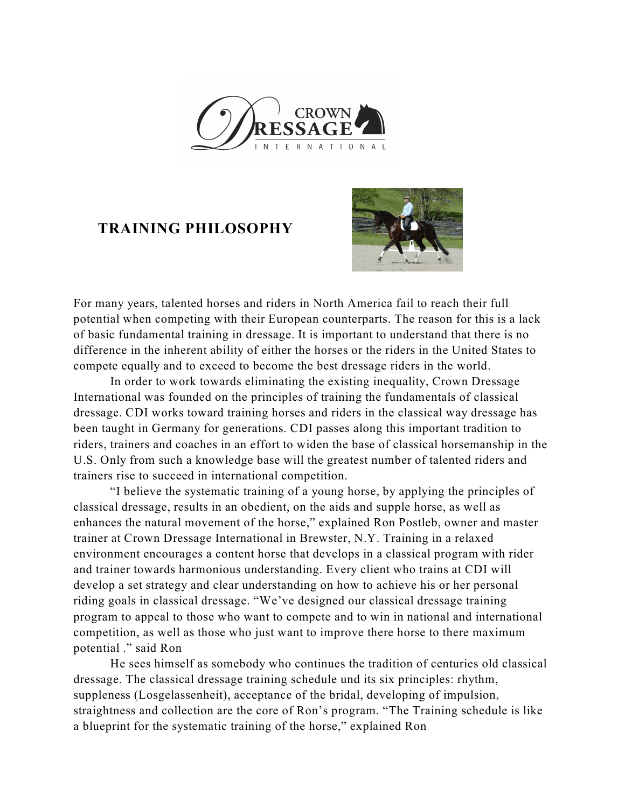

## **TRAINING PHILOSOPHY**



For many years, talented horses and riders in North America fail to reach their full potential when competing with their European counterparts. The reason for this is a lack of basic fundamental training in dressage. It is important to understand that there is no difference in the inherent ability of either the horses or the riders in the United States to compete equally and to exceed to become the best dressage riders in the world.

In order to work towards eliminating the existing inequality, Crown Dressage International was founded on the principles of training the fundamentals of classical dressage. CDI works toward training horses and riders in the classical way dressage has been taught in Germany for generations. CDI passes along this important tradition to riders, trainers and coaches in an effort to widen the base of classical horsemanship in the U.S. Only from such a knowledge base will the greatest number of talented riders and trainers rise to succeed in international competition.

"I believe the systematic training of a young horse, by applying the principles of classical dressage, results in an obedient, on the aids and supple horse, as well as enhances the natural movement of the horse," explained Ron Postleb, owner and master trainer at Crown Dressage International in Brewster, N.Y. Training in a relaxed environment encourages a content horse that develops in a classical program with rider and trainer towards harmonious understanding. Every client who trains at CDI will develop a set strategy and clear understanding on how to achieve his or her personal riding goals in classical dressage. "We've designed our classical dressage training program to appeal to those who want to compete and to win in national and international competition, as well as those who just want to improve there horse to there maximum potential ." said Ron

He sees himself as somebody who continues the tradition of centuries old classical dressage. The classical dressage training schedule und its six principles: rhythm, suppleness (Losgelassenheit), acceptance of the bridal, developing of impulsion, straightness and collection are the core of Ron's program. "The Training schedule is like a blueprint for the systematic training of the horse," explained Ron